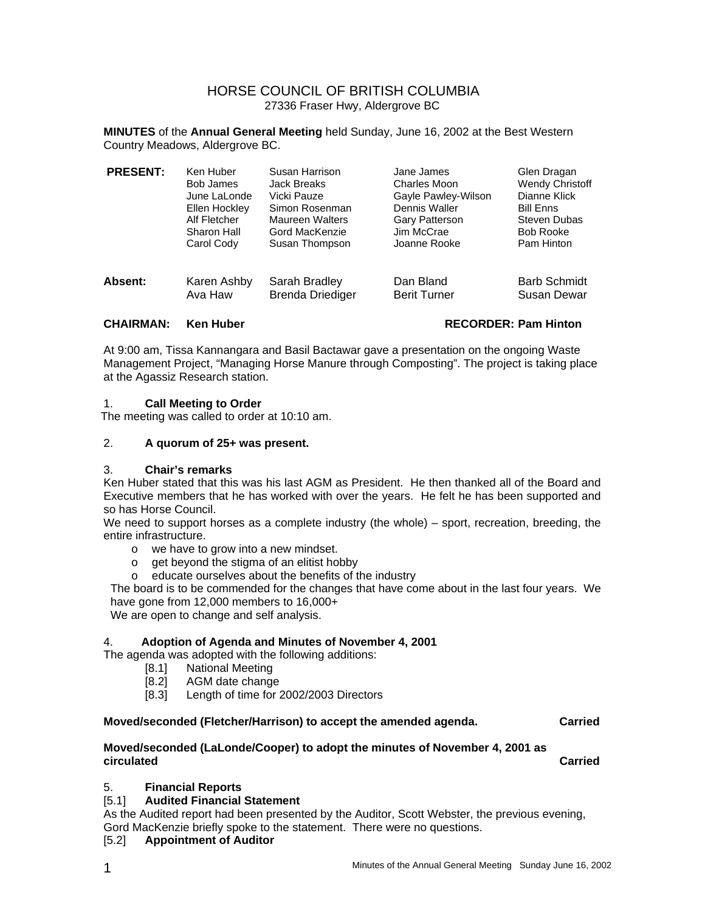# HORSE COUNCIL OF BRITISH COLUMBIA 27336 Fraser Hwy, Aldergrove BC

**MINUTES** of the **Annual General Meeting** held Sunday, June 16, 2002 at the Best Western Country Meadows, Aldergrove BC.

| <b>PRESENT:</b> | Ken Huber     | Susan Harrison          | Jane James          | Glen Dragan         |
|-----------------|---------------|-------------------------|---------------------|---------------------|
|                 | Bob James     | Jack Breaks             | Charles Moon        | Wendy Christoff     |
|                 | June LaLonde  | Vicki Pauze             | Gayle Pawley-Wilson | Dianne Klick        |
|                 | Ellen Hockley | Simon Rosenman          | Dennis Waller       | <b>Bill Enns</b>    |
|                 | Alf Fletcher  | Maureen Walters         | Gary Patterson      | Steven Dubas        |
|                 | Sharon Hall   | Gord MacKenzie          | Jim McCrae          | <b>Bob Rooke</b>    |
|                 | Carol Cody    | Susan Thompson          | Joanne Rooke        | Pam Hinton          |
| Absent:         | Karen Ashby   | Sarah Bradley           | Dan Bland           | <b>Barb Schmidt</b> |
|                 | Ava Haw       | <b>Brenda Driediger</b> | <b>Berit Turner</b> | Susan Dewar         |

# **CHAIRMAN: Ken Huber RECORDER: Pam Hinton**

At 9:00 am, Tissa Kannangara and Basil Bactawar gave a presentation on the ongoing Waste Management Project, "Managing Horse Manure through Composting". The project is taking place at the Agassiz Research station.

# 1. **Call Meeting to Order**

The meeting was called to order at 10:10 am.

# 2. **A quorum of 25+ was present.**

#### 3. **Chair's remarks**

Ken Huber stated that this was his last AGM as President. He then thanked all of the Board and Executive members that he has worked with over the years. He felt he has been supported and so has Horse Council.

We need to support horses as a complete industry (the whole) – sport, recreation, breeding, the entire infrastructure.

- o we have to grow into a new mindset.
- o get beyond the stigma of an elitist hobby
- o educate ourselves about the benefits of the industry

The board is to be commended for the changes that have come about in the last four years. We have gone from 12,000 members to 16,000+

We are open to change and self analysis.

# 4. **Adoption of Agenda and Minutes of November 4, 2001**

The agenda was adopted with the following additions:

- [8.1] National Meeting
- [8.2] AGM date change
- [8.3] Length of time for 2002/2003 Directors

# **Moved/seconded (Fletcher/Harrison) to accept the amended agenda. Carried**

# **Moved/seconded (LaLonde/Cooper) to adopt the minutes of November 4, 2001 as circulated Carried**

# 5. **Financial Reports**

# [5.1] **Audited Financial Statement**

As the Audited report had been presented by the Auditor, Scott Webster, the previous evening, Gord MacKenzie briefly spoke to the statement. There were no questions.

#### [5.2] **Appointment of Auditor**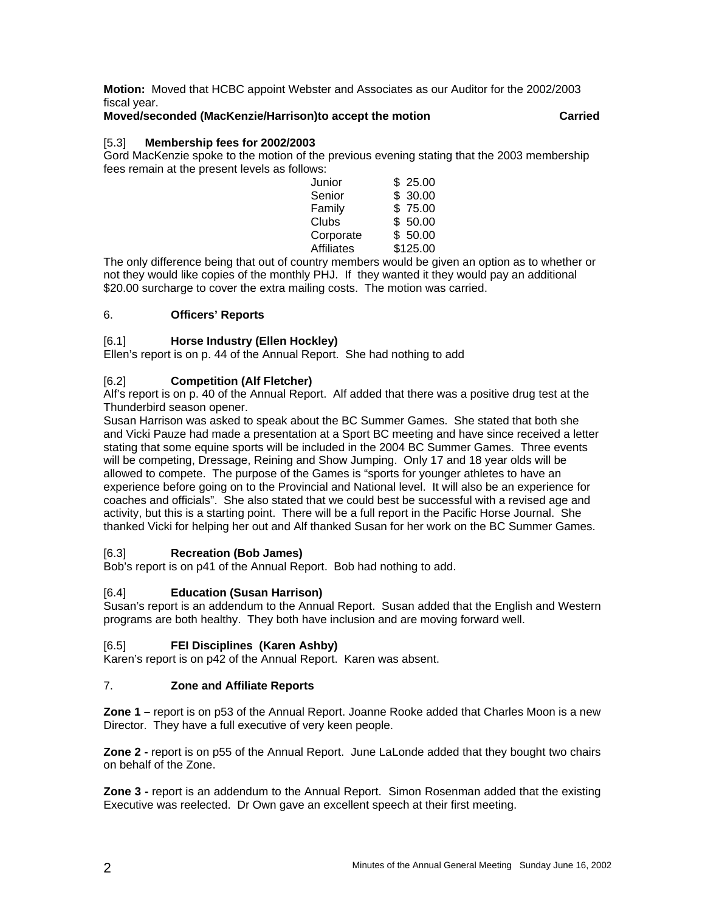**Motion:** Moved that HCBC appoint Webster and Associates as our Auditor for the 2002/2003 fiscal year.

### **Moved/seconded (MacKenzie/Harrison)to accept the motion Carried**

# [5.3] **Membership fees for 2002/2003**

Gord MacKenzie spoke to the motion of the previous evening stating that the 2003 membership fees remain at the present levels as follows:

| \$25.00  |
|----------|
| \$30.00  |
| \$75.00  |
| \$50.00  |
| \$50.00  |
| \$125.00 |
|          |

The only difference being that out of country members would be given an option as to whether or not they would like copies of the monthly PHJ. If they wanted it they would pay an additional \$20.00 surcharge to cover the extra mailing costs. The motion was carried.

# 6. **Officers' Reports**

# [6.1] **Horse Industry (Ellen Hockley)**

Ellen's report is on p. 44 of the Annual Report. She had nothing to add

# [6.2] **Competition (Alf Fletcher)**

Alf's report is on p. 40 of the Annual Report. Alf added that there was a positive drug test at the Thunderbird season opener.

Susan Harrison was asked to speak about the BC Summer Games. She stated that both she and Vicki Pauze had made a presentation at a Sport BC meeting and have since received a letter stating that some equine sports will be included in the 2004 BC Summer Games. Three events will be competing, Dressage, Reining and Show Jumping. Only 17 and 18 year olds will be allowed to compete. The purpose of the Games is "sports for younger athletes to have an experience before going on to the Provincial and National level. It will also be an experience for coaches and officials". She also stated that we could best be successful with a revised age and activity, but this is a starting point. There will be a full report in the Pacific Horse Journal. She thanked Vicki for helping her out and Alf thanked Susan for her work on the BC Summer Games.

#### [6.3] **Recreation (Bob James)**

Bob's report is on p41 of the Annual Report. Bob had nothing to add.

# [6.4] **Education (Susan Harrison)**

Susan's report is an addendum to the Annual Report. Susan added that the English and Western programs are both healthy. They both have inclusion and are moving forward well.

# [6.5] **FEI Disciplines (Karen Ashby)**

Karen's report is on p42 of the Annual Report. Karen was absent.

#### 7. **Zone and Affiliate Reports**

**Zone 1 –** report is on p53 of the Annual Report. Joanne Rooke added that Charles Moon is a new Director. They have a full executive of very keen people.

**Zone 2 -** report is on p55 of the Annual Report. June LaLonde added that they bought two chairs on behalf of the Zone.

**Zone 3 - report is an addendum to the Annual Report. Simon Rosenman added that the existing** Executive was reelected. Dr Own gave an excellent speech at their first meeting.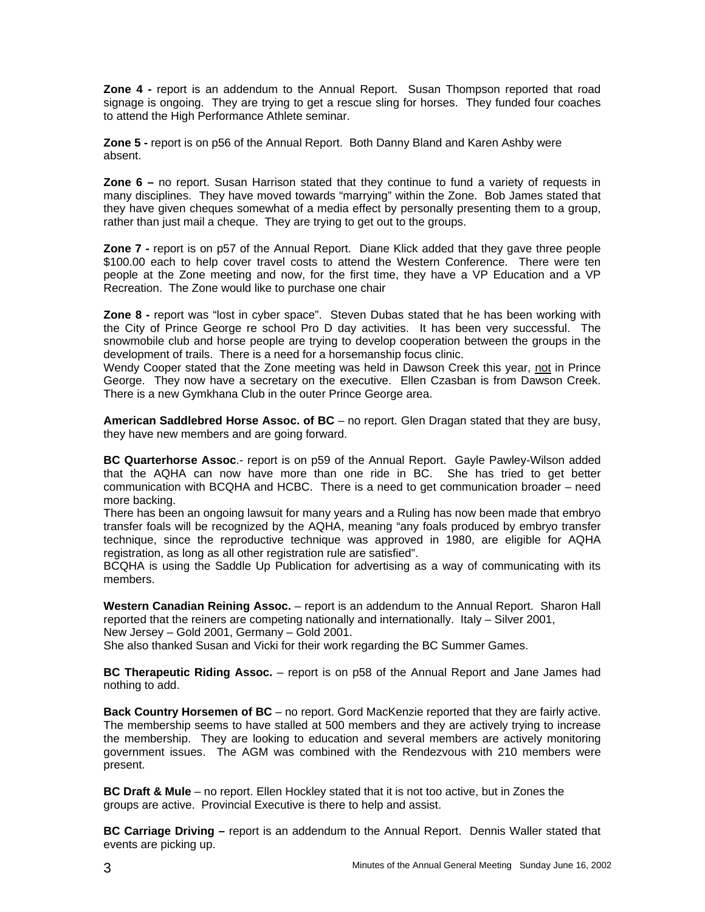**Zone 4 -** report is an addendum to the Annual Report. Susan Thompson reported that road signage is ongoing. They are trying to get a rescue sling for horses. They funded four coaches to attend the High Performance Athlete seminar.

**Zone 5 -** report is on p56 of the Annual Report. Both Danny Bland and Karen Ashby were absent.

**Zone 6 –** no report. Susan Harrison stated that they continue to fund a variety of requests in many disciplines. They have moved towards "marrying" within the Zone. Bob James stated that they have given cheques somewhat of a media effect by personally presenting them to a group, rather than just mail a cheque. They are trying to get out to the groups.

**Zone 7** - report is on p57 of the Annual Report. Diane Klick added that they gave three people \$100.00 each to help cover travel costs to attend the Western Conference. There were ten people at the Zone meeting and now, for the first time, they have a VP Education and a VP Recreation. The Zone would like to purchase one chair

**Zone 8 -** report was "lost in cyber space". Steven Dubas stated that he has been working with the City of Prince George re school Pro D day activities. It has been very successful. The snowmobile club and horse people are trying to develop cooperation between the groups in the development of trails. There is a need for a horsemanship focus clinic.

Wendy Cooper stated that the Zone meeting was held in Dawson Creek this year, not in Prince George. They now have a secretary on the executive. Ellen Czasban is from Dawson Creek. There is a new Gymkhana Club in the outer Prince George area.

**American Saddlebred Horse Assoc. of BC** – no report. Glen Dragan stated that they are busy, they have new members and are going forward.

**BC Quarterhorse Assoc**.- report is on p59 of the Annual Report. Gayle Pawley-Wilson added that the AQHA can now have more than one ride in BC. She has tried to get better communication with BCQHA and HCBC. There is a need to get communication broader – need more backing.

There has been an ongoing lawsuit for many years and a Ruling has now been made that embryo transfer foals will be recognized by the AQHA, meaning "any foals produced by embryo transfer technique, since the reproductive technique was approved in 1980, are eligible for AQHA registration, as long as all other registration rule are satisfied".

BCQHA is using the Saddle Up Publication for advertising as a way of communicating with its members.

**Western Canadian Reining Assoc.** – report is an addendum to the Annual Report. Sharon Hall reported that the reiners are competing nationally and internationally. Italy – Silver 2001, New Jersey – Gold 2001, Germany – Gold 2001.

She also thanked Susan and Vicki for their work regarding the BC Summer Games.

**BC Therapeutic Riding Assoc.** – report is on p58 of the Annual Report and Jane James had nothing to add.

**Back Country Horsemen of BC** – no report. Gord MacKenzie reported that they are fairly active. The membership seems to have stalled at 500 members and they are actively trying to increase the membership. They are looking to education and several members are actively monitoring government issues. The AGM was combined with the Rendezvous with 210 members were present.

**BC Draft & Mule** – no report. Ellen Hockley stated that it is not too active, but in Zones the groups are active. Provincial Executive is there to help and assist.

**BC Carriage Driving –** report is an addendum to the Annual Report. Dennis Waller stated that events are picking up.